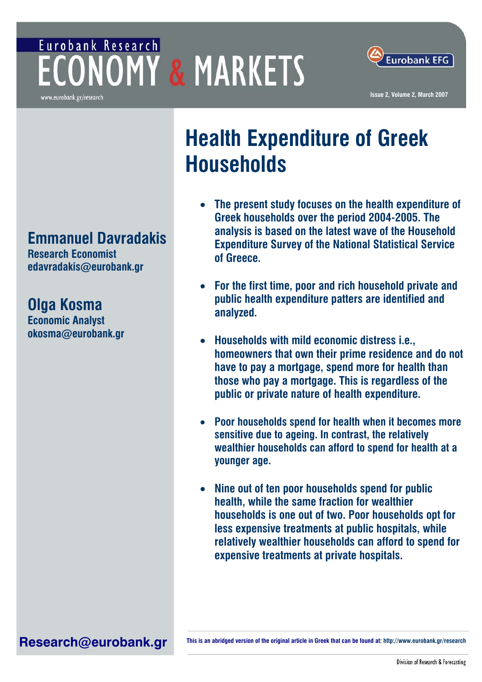## Eurobank Research **ECONOMY & MARKETS** www.eurobank.gr/research



**Issue 2, Volume 2, March 2007**

# **Health Expenditure of Greek Households**

- **The present study focuses on the health expenditure of Greek households over the period 2004-2005. The analysis is based on the latest wave of the Household Expenditure Survey of the National Statistical Service of Greece.**
- **For the first time, poor and rich household private and public health expenditure patters are identified and analyzed.**
- **Households with mild economic distress i.e., homeowners that own their prime residence and do not have to pay a mortgage, spend more for health than those who pay a mortgage. This is regardless of the public or private nature of health expenditure.**
- **Poor households spend for health when it becomes more sensitive due to ageing. In contrast, the relatively wealthier households can afford to spend for health at a younger age.**
- **Nine out of ten poor households spend for public health, while the same fraction for wealthier households is one out of two. Poor households opt for less expensive treatments at public hospitals, while relatively wealthier households can afford to spend for expensive treatments at private hospitals.**

**Emmanuel Davradakis** 

**Research Economist edavradakis@eurobank.gr** 

**Olga Kosma Economic Analyst okosma@eurobank.gr** 

Research@eurobank.gr **Inis is an abridged version of the original article in Greek that can be found at: http://www.eurobank.gr/research**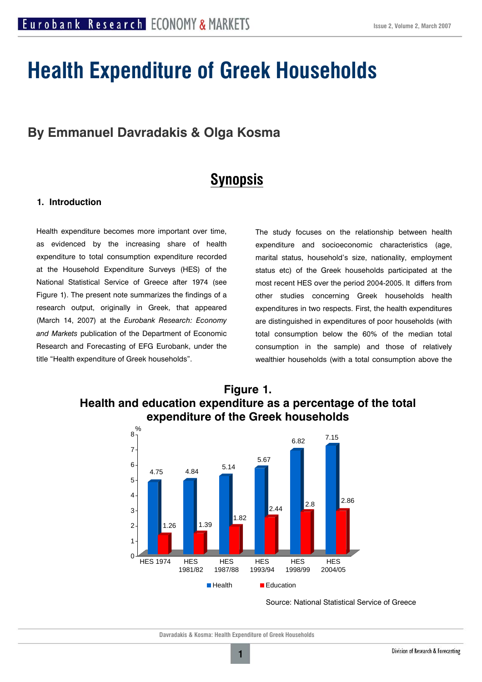# **Health Expenditure of Greek Households**

## **By Emmanuel Davradakis & Olga Kosma**

## **Synopsis**

#### **1. Introduction**

Health expenditure becomes more important over time, as evidenced by the increasing share of health expenditure to total consumption expenditure recorded at the Household Expenditure Surveys (HES) of the National Statistical Service of Greece after 1974 (see Figure 1). The present note summarizes the findings of a research output, originally in Greek, that appeared (March 14, 2007) at the *Eurobank Research: Economy and Markets* publication of the Department of Economic Research and Forecasting of EFG Eurobank, under the title "Health expenditure of Greek households".

The study focuses on the relationship between health expenditure and socioeconomic characteristics (age, marital status, household's size, nationality, employment status etc) of the Greek households participated at the most recent HES over the period 2004-2005. It differs from other studies concerning Greek households health expenditures in two respects. First, the health expenditures are distinguished in expenditures of poor households (with total consumption below the 60% of the median total consumption in the sample) and those of relatively wealthier households (with a total consumption above the



### **Figure 1. Health and education expenditure as a percentage of the total expenditure of the Greek households**

Source: National Statistical Service of Greece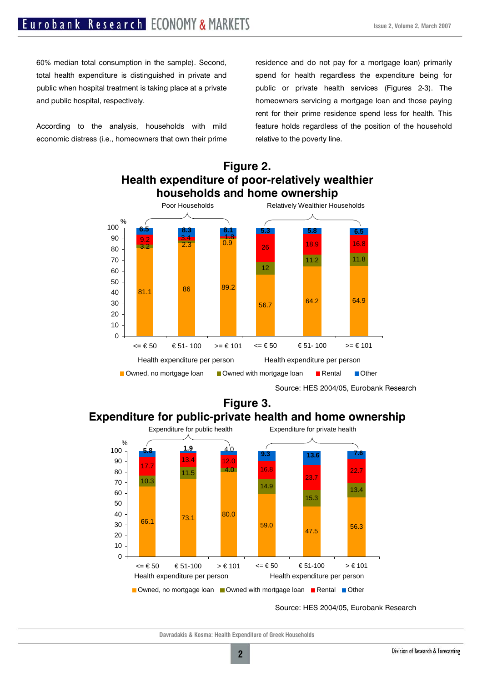60% median total consumption in the sample). Second, total health expenditure is distinguished in private and public when hospital treatment is taking place at a private and public hospital, respectively.

According to the analysis, households with mild economic distress (i.e., homeowners that own their prime

residence and do not pay for a mortgage loan) primarily spend for health regardless the expenditure being for public or private health services (Figures 2-3). The homeowners servicing a mortgage loan and those paying rent for their prime residence spend less for health. This feature holds regardless of the position of the household relative to the poverty line.



#### **Figure 2. Health expenditure of poor-relatively wealthier households and home ownership**

Source: HES 2004/05, Eurobank Research

### **Figure 3. Expenditure for public-private health and home ownership**



Source: HES 2004/05, Eurobank Research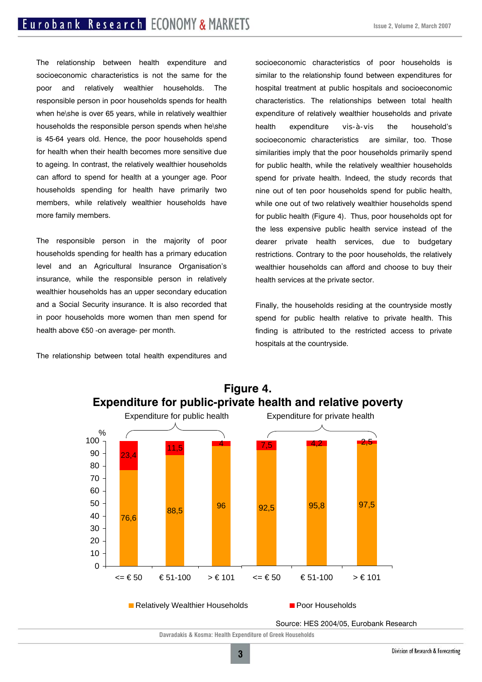The relationship between health expenditure and socioeconomic characteristics is not the same for the poor and relatively wealthier households. The responsible person in poor households spends for health when he\she is over 65 years, while in relatively wealthier households the responsible person spends when he\she is 45-64 years old. Hence, the poor households spend for health when their health becomes more sensitive due to ageing. In contrast, the relatively wealthier households can afford to spend for health at a younger age. Poor households spending for health have primarily two members, while relatively wealthier households have more family members.

The responsible person in the majority of poor households spending for health has a primary education level and an Agricultural Insurance Organisation's insurance, while the responsible person in relatively wealthier households has an upper secondary education and a Social Security insurance. It is also recorded that in poor households more women than men spend for health above €50 -on average- per month.

The relationship between total health expenditures and

socioeconomic characteristics of poor households is similar to the relationship found between expenditures for hospital treatment at public hospitals and socioeconomic characteristics. The relationships between total health expenditure of relatively wealthier households and private health expenditure vis-à-vis the household's socioeconomic characteristics are similar, too. Those similarities imply that the poor households primarily spend for public health, while the relatively wealthier households spend for private health. Indeed, the study records that nine out of ten poor households spend for public health, while one out of two relatively wealthier households spend for public health (Figure 4). Thus, poor households opt for the less expensive public health service instead of the dearer private health services, due to budgetary restrictions. Contrary to the poor households, the relatively wealthier households can afford and choose to buy their health services at the private sector.

Finally, the households residing at the countryside mostly spend for public health relative to private health. This finding is attributed to the restricted access to private hospitals at the countryside.



### **Figure 4. Expenditure for public-private health and relative poverty**